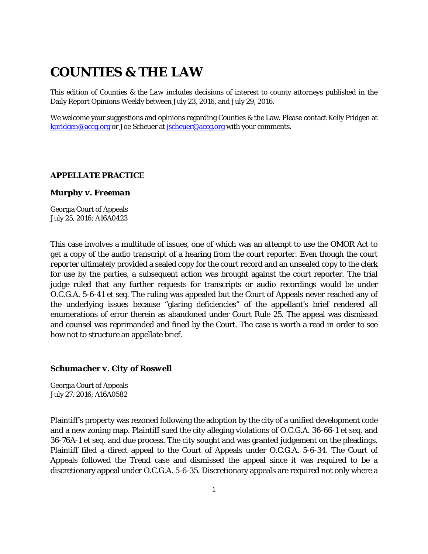# **COUNTIES & THE LAW**

This edition of *Counties & the Law* includes decisions of interest to county attorneys published in the Daily Report Opinions Weekly between July 23, 2016, and July 29, 2016.

We welcome your suggestions and opinions regarding Counties & the Law. Please contact Kelly Pridgen at [kpridgen@accg.org](mailto:kpridgen@accg.org) or Joe Scheuer at [jscheuer@accg.org](mailto:jscheuer@accg.org) with your comments.

# *APPELLATE PRACTICE*

#### *Murphy v. Freeman*

Georgia Court of Appeals July 25, 2016; A16A0423

This case involves a multitude of issues, one of which was an attempt to use the OMOR Act to get a copy of the audio transcript of a hearing from the court reporter. Even though the court reporter ultimately provided a sealed copy for the court record and an unsealed copy to the clerk for use by the parties, a subsequent action was brought against the court reporter. The trial judge ruled that any further requests for transcripts or audio recordings would be under O.C.G.A. 5-6-41 et seq. The ruling was appealed but the Court of Appeals never reached any of the underlying issues because "glaring deficiencies" of the appellant's brief rendered all enumerations of error therein as abandoned under Court Rule 25. The appeal was dismissed and counsel was reprimanded and fined by the Court. The case is worth a read in order to see how not to structure an appellate brief.

# *Schumacher v. City of Roswell*

Georgia Court of Appeals July 27, 2016; A16A0582

Plaintiff's property was rezoned following the adoption by the city of a unified development code and a new zoning map. Plaintiff sued the city alleging violations of O.C.G.A. 36-66-1 et seq. and 36-76A-1 et seq. and due process. The city sought and was granted judgement on the pleadings. Plaintiff filed a direct appeal to the Court of Appeals under O.C.G.A. 5-6-34. The Court of Appeals followed the *Trend* case and dismissed the appeal since it was required to be a discretionary appeal under O.C.G.A. 5-6-35. Discretionary appeals are required not only where a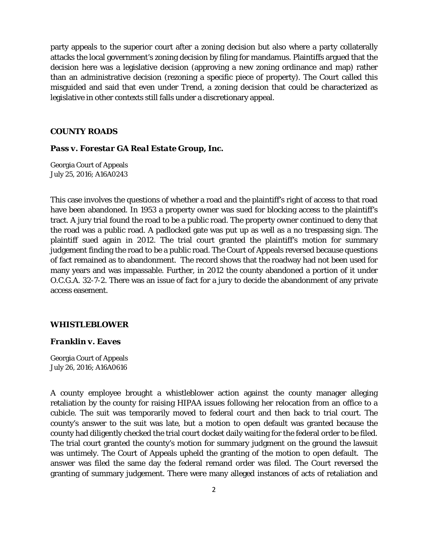party appeals to the superior court after a zoning decision but also where a party collaterally attacks the local government's zoning decision by filing for mandamus. Plaintiffs argued that the decision here was a legislative decision (approving a new zoning ordinance and map) rather than an administrative decision (rezoning a specific piece of property). The Court called this misguided and said that even under *Trend*, a zoning decision that could be characterized as legislative in other contexts still falls under a discretionary appeal.

# *COUNTY ROADS*

# *Pass v. Forestar GA Real Estate Group, Inc.*

Georgia Court of Appeals July 25, 2016; A16A0243

This case involves the questions of whether a road and the plaintiff's right of access to that road have been abandoned. In 1953 a property owner was sued for blocking access to the plaintiff's tract. A jury trial found the road to be a public road. The property owner continued to deny that the road was a public road. A padlocked gate was put up as well as a no trespassing sign. The plaintiff sued again in 2012. The trial court granted the plaintiff's motion for summary judgement finding the road to be a public road. The Court of Appeals reversed because questions of fact remained as to abandonment. The record shows that the roadway had not been used for many years and was impassable. Further, in 2012 the county abandoned a portion of it under O.C.G.A. 32-7-2. There was an issue of fact for a jury to decide the abandonment of any private access easement.

# *WHISTLEBLOWER*

#### *Franklin v. Eaves*

Georgia Court of Appeals July 26, 2016; A16A0616

A county employee brought a whistleblower action against the county manager alleging retaliation by the county for raising HIPAA issues following her relocation from an office to a cubicle. The suit was temporarily moved to federal court and then back to trial court. The county's answer to the suit was late, but a motion to open default was granted because the county had diligently checked the trial court docket daily waiting for the federal order to be filed. The trial court granted the county's motion for summary judgment on the ground the lawsuit was untimely. The Court of Appeals upheld the granting of the motion to open default. The answer was filed the same day the federal remand order was filed. The Court reversed the granting of summary judgement. There were many alleged instances of acts of retaliation and